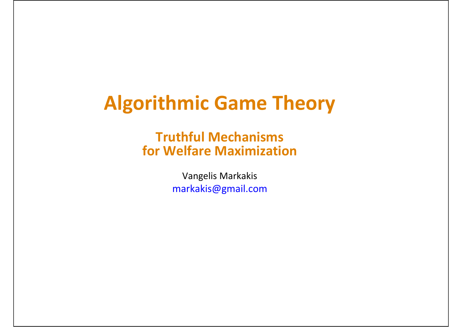### **Algorithmic Game Theory**

#### **Truthful Mechanisms for Welfare Maximization**

Vangelis Markakis markakis@gmail.com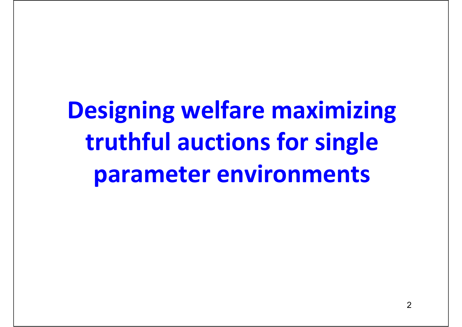**Designing welfare maximizing truthful auctions for single parameter environments**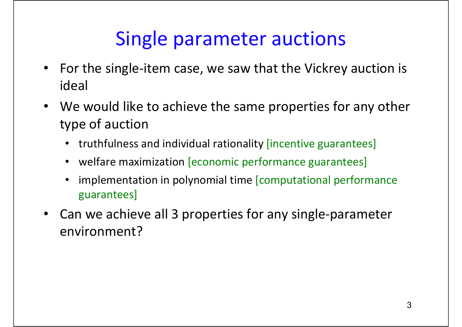### Single parameter auctions

- $\bullet$  For the single‐item case, we saw that the Vickrey auction is ideal
- $\bullet$  We would like to achieve the same properties for any other type of auction
	- truthfulness and individual rationality [incentive guarantees]
	- welfare maximization [economic performance guarantees]
	- • implementation in polynomial time [computational performance guarantees]
- $\bullet$ ● Can we achieve all 3 properties for any single-parameter environment?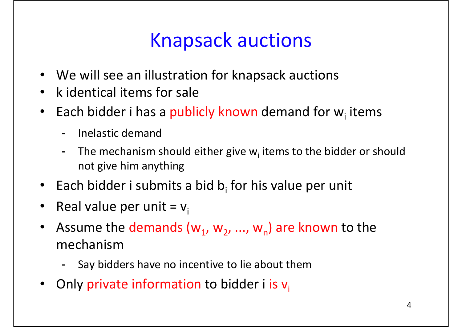- We will see an illustration for knapsack auctions
- $\bullet$ • k identical items for sale
- •• Each bidder i has a publicly known demand for w<sub>i</sub> items
	- -- Inelastic demand
	- -- The mechanism should either give w<sub>i</sub> items to the bidder or should not give him anything
- Each bidder i submits a bid  $b_i$  for his value per unit
- •• Real value per unit =  $v_i$
- $\bullet$ • Assume the demands  $(w_1, w_2, ..., w_n)$  are known to the mechanism
	- Say bidders have no incentive to lie about them
- •Only private information to bidder i is  $v_i$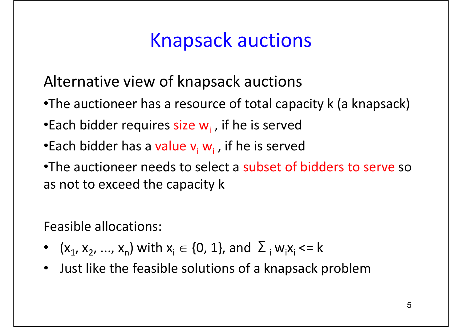Alternative view of knapsack auctions

- •The auctioneer has <sup>a</sup> resource of total capacity k (a knapsack)
- •Each bidder requires size w<sub>i</sub> , if he is served
- •Each bidder has a value v<sub>i</sub> w<sub>i</sub> , if he is served
- •The auctioneer needs to select <sup>a</sup> subset of bidders to serve so as not to exceed the capacity k

Feasible allocations:

- $(x_1, x_2, ..., x_n)$  with  $x_i \in \{0, 1\}$ , and  $\sum_i w_i x_i$  <= k
- Just like the feasible solutions of <sup>a</sup> knapsack problem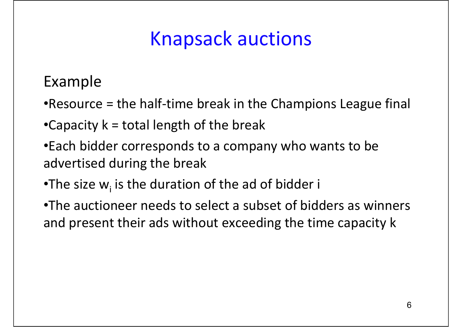Example

- •Resource <sup>=</sup> the half‐time break in the Champions League final
- •Capacity  $k =$  total length of the break
- •Each bidder corresponds to <sup>a</sup> company who wants to be advertised during the break
- •The size  $w_i$  is the duration of the ad of bidder i
- •The auctioneer needs to select <sup>a</sup> subset of bidders as winners and present their ads without exceeding the time capacity k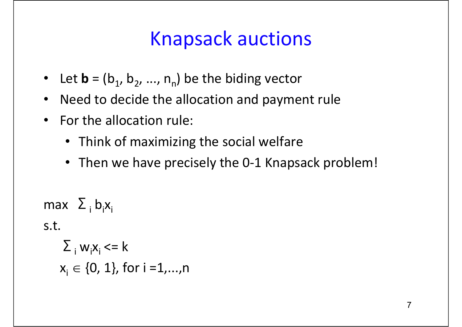- $\bullet$ • Let  $\mathbf{b} = (b_1, b_2, ..., n_n)$  be the biding vector
- $\bullet$ Need to decide the allocation and payment rule
- $\bullet$ • For the allocation rule:
	- Think of maximizing the social welfare
	- Then we have precisely the 0-1 Knapsack problem!

max  $\left|\Sigma\right|_{\rm i}$  b $_{\rm i}$ x $_{\rm i}$ 

s.t.

$$
\Sigma_{i} w_{i}x_{i} \le k
$$
  

$$
x_{i} \in \{0, 1\}, \text{ for } i = 1, ..., n
$$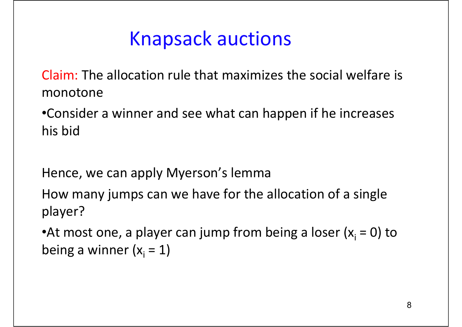Claim: The allocation rule that maximizes the social welfare is monotone

•Consider a winner and see what can happen if he increases his bid

Hence, we can apply Myerson's lemma

How many jumps can we have for the allocation of <sup>a</sup> single player?

•At most one, a player can jump from being a loser ( $x_i = 0$ ) to being a winner ( $x_{\textrm{i}}$  = 1)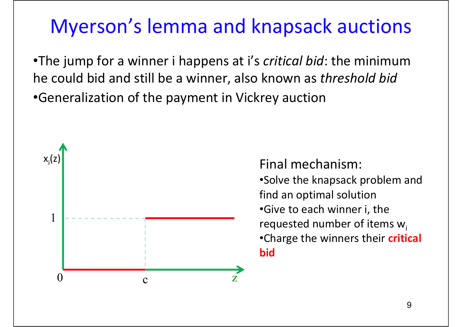### Myerson's lemma and knapsack auctions

•The jump for <sup>a</sup> winner i happens at i's *critical bid*: the minimum he could bid and still be <sup>a</sup> winner, also known as *threshold bid* •Generalization of the payment in Vickrey auction



Final mechanism:

- •Solve the knapsack problem and find an optimal solution
- •Give to each winner i, the requested number of items  $w_i$
- •Charge the winners their **critical bid**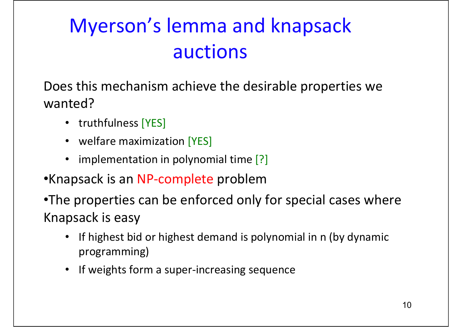# Myerson's lemma and knapsack auctions

Does this mechanism achieve the desirable properties we wanted?

- truthfulness [YES]
- welfare maximization [YES]
- implementation in polynomial time [?]
- •Knapsack is an NP‐complete problem
- •The properties can be enforced only for special cases where Knapsack is easy
	- • If highest bid or highest demand is polynomial in <sup>n</sup> (by dynamic programming)
	- If weights form a super-increasing sequence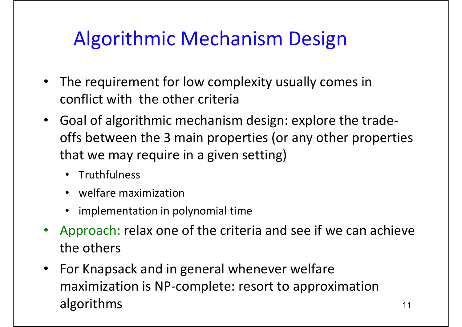# Algorithmic Mechanism Design

- $\bullet$  The requirement for low complexity usually comes in conflict with the other criteria
- • Goal of algorithmic mechanism design: explore the trade‐ offs between the 3 main properties (or any other properties that we may require in <sup>a</sup> given setting)
	- Truthfulness
	- welfare maximization
	- implementation in polynomial time
- $\bullet$  Approach: relax one of the criteria and see if we can achieve the others
- $\bullet$  For Knapsack and in general whenever welfare maximization is NP‐complete: resort to approximation algorithms and the set of the set of the set of the set of the set of the set of the set of the set of the set o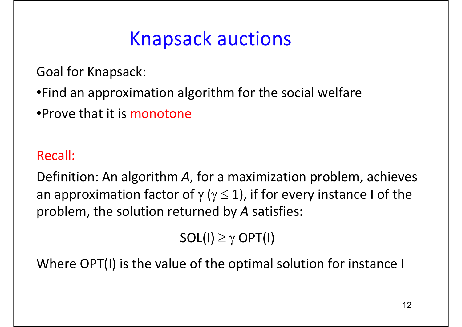Goal for Knapsack:

- •Find an approximation algorithm for the social welfare
- •Prove that it is monotone

### Recall:

Definition: An algorithm *A*, for <sup>a</sup> maximization problem, achieves an approximation factor of  $\gamma$  ( $\gamma$   $\leq$  1), if for every instance I of the problem, the solution returned by *A* satisfies:

 $SOL(I) \geq \gamma$  OPT(I)

Where OPT(I) is the value of the optimal solution for instance I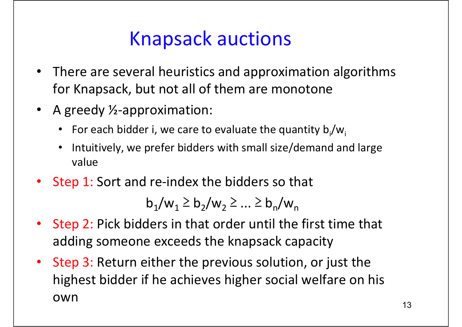- • There are several heuristics and approximation algorithms for Knapsack, but not all of them are monotone
- A greedy ½-approximation:
	- For each bidder i, we care to evaluate the quantity  $b_i/w_i$
	- $\bullet$  Intuitively, we prefer bidders with small size/demand and large value
- Step 1: Sort and re-index the bidders so that

$$
b_1/w_1 \ge b_2/w_2 \ge \dots \ge b_n/w_n
$$

- • Step 2: Pick bidders in that order until the first time that adding someone exceeds the knapsack capacity
- $\bullet$  Step 3: Return either the previous solution, or just the highest bidder if he achieves higher social welfare on his own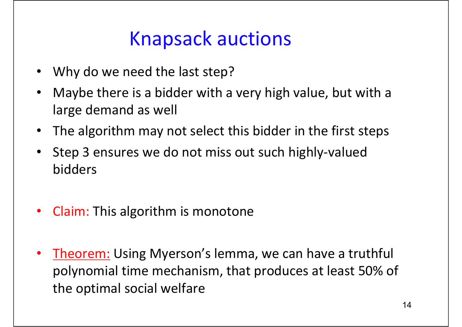- •Why do we need the last step?
- • Maybe there is <sup>a</sup> bidder with <sup>a</sup> very high value, but with <sup>a</sup> large demand as well
- $\bullet$ The algorithm may not select this bidder in the first steps
- $\bullet$  Step 3 ensures we do not miss out such highly‐valued bidders
- •• Claim: This algorithm is monotone
- $\bullet$  Theorem: Using Myerson's lemma, we can have <sup>a</sup> truthful polynomial time mechanism, that produces at least 50% of the optimal social welfare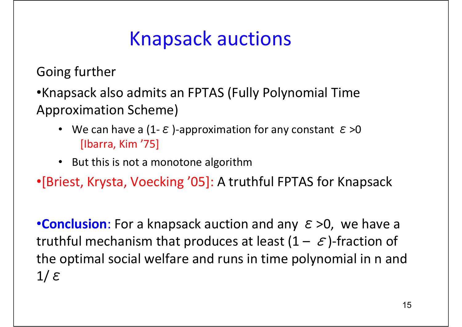Going further

•Knapsack also admits an FPTAS (Fully Polynomial Time Approximation Scheme)

- We can have a (1- $\varepsilon$ )-approximation for any constant  $\varepsilon > 0$ [Ibarra, Kim '75]
- But this is not a monotone algorithm

•[Briest, Krysta, Voecking '05]: A truthful FPTAS for Knapsack

•**Conclusion**: For a knapsack auction and any <sup>ε</sup>>0, we have <sup>a</sup> truthful mechanism that produces at least  $(1 - \varepsilon)$ -fraction of the optimal social welfare and runs in time polynomial in <sup>n</sup> and 1/<sup>ε</sup>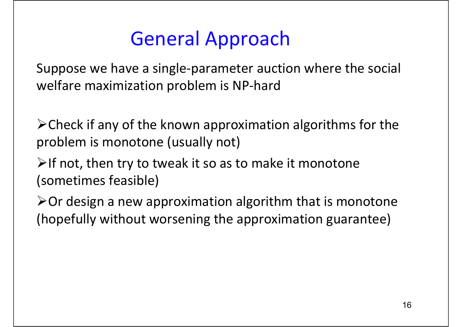### General Approach

Suppose we have <sup>a</sup> single‐parameter auction where the social welfare maximization problem is NP‐hard

 $\triangleright$  Check if any of the known approximation algorithms for the problem is monotone (usually not)

 $\triangleright$ If not, then try to tweak it so as to make it monotone (sometimes feasible)

 $\triangleright$  Or design a new approximation algorithm that is monotone (hopefully without worsening the approximation guarantee)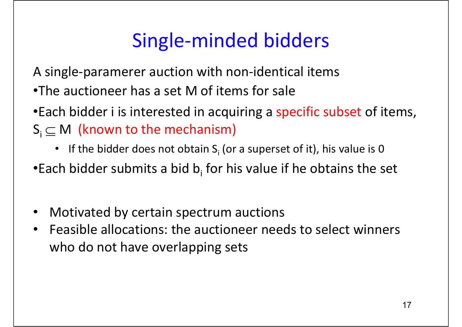A single‐paramerer auction with non‐identical items

- •The auctioneer has <sup>a</sup> set M of items for sale
- •Each bidder i is interested in acquiring <sup>a</sup> specific subset of items,  $\mathsf{S}_\mathsf{i}\subseteq\mathsf{M}$  (known to the mechanism)
	- If the bidder does not obtain  $S_i$  (or a superset of it), his value is 0
- •Each bidder submits a bid  $b_i$  for his value if he obtains the set
- $\bullet$ Motivated by certain spectrum auctions
- • Feasible allocations: the auctioneer needs to select winners who do not have overlapping sets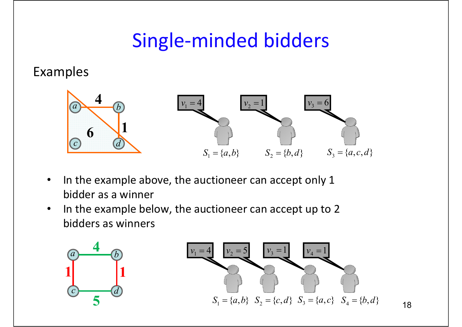#### Examples



- $\bullet$ • In the example above, the auctioneer can accept only 1 bidder as a winner
- $\bullet$ • In the example below, the auctioneer can accept up to 2 bidders as winners



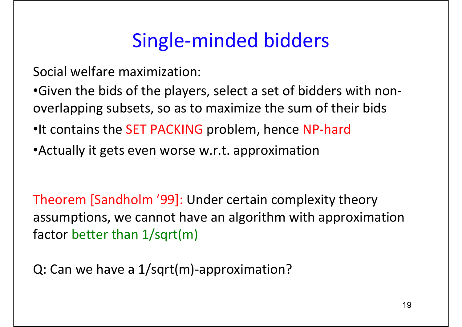Social welfare maximization:

- •Given the bids of the players, select <sup>a</sup> set of bidders with non‐ overlapping subsets, so as to maximize the sum of their bids
- •It contains the SET PACKING problem, hence NP‐hard
- •Actually it gets even worse w.r.t. approximation

Theorem [Sandholm '99]: Under certain complexity theory assumptions, we cannot have an algorithm with approximation factor better than 1/sqrt(m)

Q: Can we have <sup>a</sup> 1/sqrt(m)‐approximation?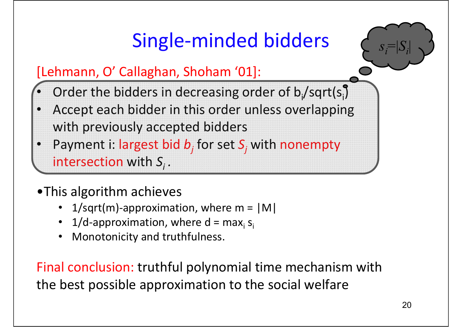### [Lehmann, O' Callaghan, Shoham '01]:

- •• Order the bidders in decreasing order of  $b_i$ /sqrt(si)
- • Accept each bidder in this order unless overlapping with previously accepted bidders
- •Payment i: largest bid *b<sub>i</sub>* for set *S<sub>i</sub>* with nonempty intersection with *Si .*

### •This algorithm achieves

- •1/sqrt(m)-approximation, where  $m = |M|$
- $\bullet$ • 1/d-approximation, where d = max<sub>i</sub> s<sub>i</sub>
- •Monotonicity and truthfulness.

Final conclusion: truthful polynomial time mechanism with the best possible approximation to the social welfare

 $s_i = |S_i|$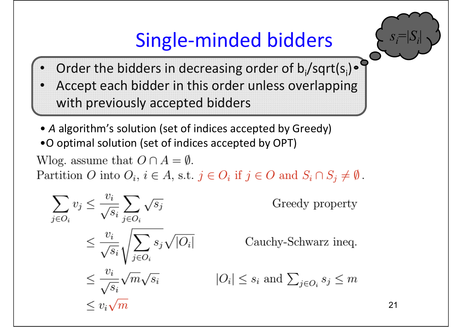

- •• Order the bidders in decreasing order of  $b_i$ /sqrt(s<sub>i</sub>)
- • Accept each bidder in this order unless overlapping with previously accepted bidders
- *A* algorithm's solution (set of indices accepted by Greedy) •O optimal solution (set of indices accepted by OPT)

Wlog. assume that  $O \cap A = \emptyset$ .

Partition O into  $O_i$ ,  $i \in A$ , s.t.  $j \in O_i$  if  $j \in O$  and  $S_i \cap S_j \neq \emptyset$ .

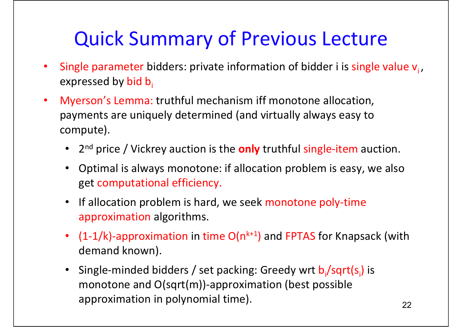# Quick Summary of Previous Lecture

- •**•** Single parameter bidders: private information of bidder i is single value  $v_i$ , expressed by bid b.
- $\bullet$  Myerson's Lemma: truthful mechanism iff monotone allocation, payments are uniquely determined (and virtually always easy to compute).
	- 2n<sup>d</sup> price / Vickrey auction is the **only** truthful single‐item auction.
	- Optimal is always monotone: if allocation problem is easy, we also get computational efficiency.
	- If allocation problem is hard, we seek monotone poly-time approximation algorithms.
	- $(1-1/k)$ -approximation in time  $O(n^{k+1})$  and FPTAS for Knapsack (with demand known).
	- Single-minded bidders / set packing: Greedy wrt b<sub>i</sub>/sqrt(s<sub>i</sub>) is monotone and O(sqrt(m))‐approximation (best possible approximation in polynomial time). 22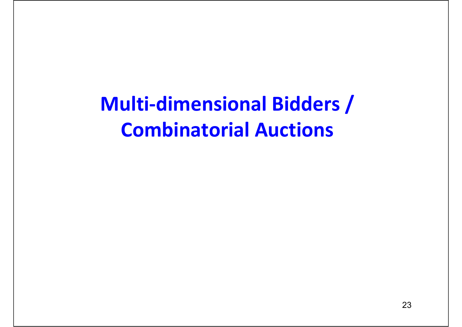**Multi‐dimensional Bidders / Combinatorial Auctions**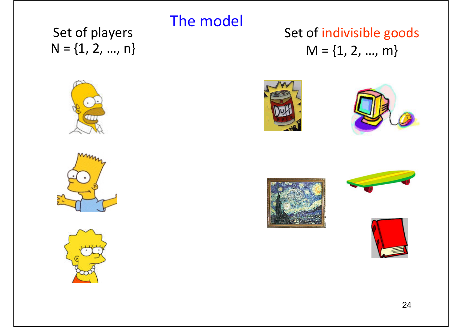#### Set of players  $N = \{1, 2, ..., n\}$

### Set of indivisible goods  $M = \{1, 2, ..., m\}$









The model







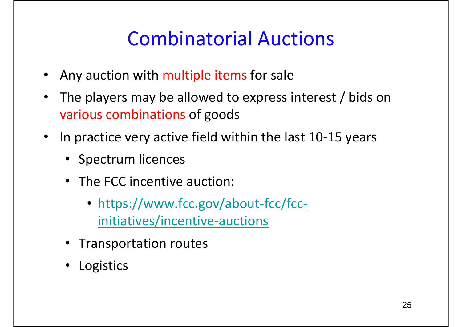## Combinatorial Auctions

- Any auction with multiple items for sale
- $\bullet$  The players may be allowed to express interest / bids on various combinations of goods
- In practice very active field within the last 10‐15 years
	- Spectrum licences
	- The FCC incentive auction:
		- https://www.fcc.gov/about-fcc/fccinitiatives/incentive‐auctions
	- Transportation routes
	- Logistics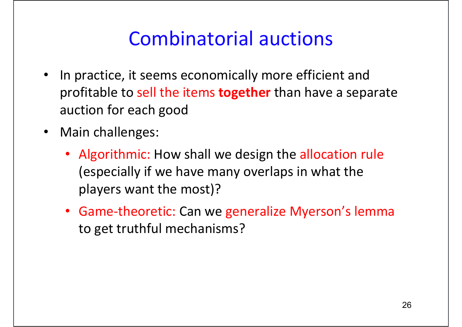### Combinatorial auctions

- In practice, it seems economically more efficient and profitable to sell the items **together** than have <sup>a</sup> separate auction for each good
- $\bullet$  Main challenges:
	- Algorithmic: How shall we design the allocation rule (especially if we have many overlaps in what the players want the most)?
	- Game‐theoretic: Can we generalize Myerson's lemma to get truthful mechanisms?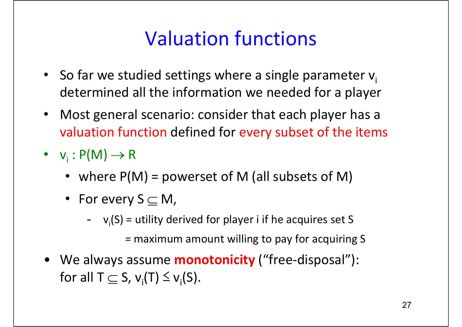## Valuation functions

- So far we studied settings where a single parameter  $v_i$ determined all the information we needed for <sup>a</sup> player
- $\bullet$  Most general scenario: consider that each player has <sup>a</sup> valuation function defined for every subset of the items
- $v_i : P(M) \rightarrow R$ 
	- where  $P(M)$  = powerset of M (all subsets of M)
	- For every S  $\subseteq$  M,
		- --  $v_i(S)$  = utility derived for player i if he acquires set S

= maximum amount willing to pay for acquiring S

• We always assume **monotonicity** ("free‐disposal"): for all T  $\subseteq$  S,  $\mathsf{v}_{\mathsf{i}}(\mathsf{T}) \leq \mathsf{v}_{\mathsf{i}}(\mathsf{S})$ .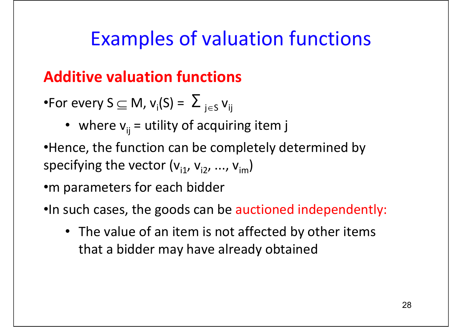### **Additive valuation functions**

- •For every S  $\subseteq$  M,  $\mathsf{v}_{\mathsf{i}}(\mathsf{S})$  =  $\varSigma$   $_{\mathsf{j}\in\mathsf{S}}$   $\mathsf{v}_{\mathsf{i}\mathsf{j}}$ 
	- where  $v_{ij}$  = utility of acquiring item j
- •Hence, the function can be completely determined by specifying the vector  $(v_{i1}, v_{i2}, ..., v_{im})$

•m parameters for each bidder

- •In such cases, the goods can be auctioned independently:
	- The value of an item is not affected by other items that a bidder may have already obtained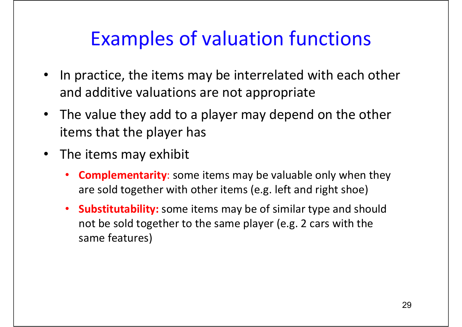- $\bullet$ • In practice, the items may be interrelated with each other and additive valuations are not appropriate
- The value they add to <sup>a</sup> player may depend on the other items that the player has
- The items may exhibit
	- • **Complementarity**: some items may be valuable only when they are sold together with other items (e.g. left and right shoe)
	- $\bullet$  **Substitutability:** some items may be of similar type and should not be sold together to the same player (e.g. 2 cars with the same features)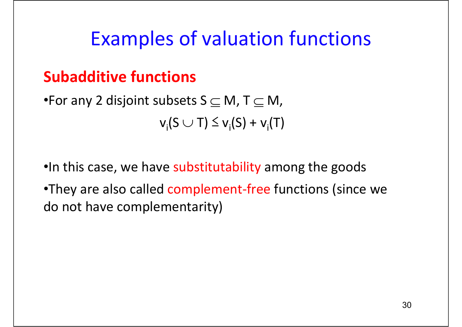### **Subadditive functions**

- •For any 2 disjoint subsets S  $\subseteq$  M, T  $\subseteq$  M,  $v_i(S \cup T) \le v_i(S) + v_i(T)$
- •In this case, we have substitutability among the goods
- •They are also called complement-free functions (since we do not have complementarity)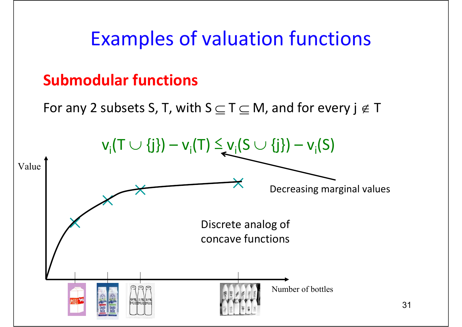### **Submodular functions**

For any 2 subsets S, T, with S  $\subseteq$  T  $\subseteq$  M, and for every j  $\not\in$  T

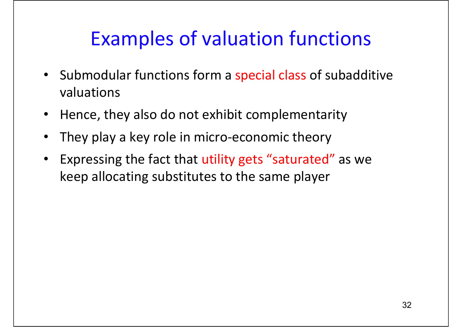- $\bullet$ • Submodular functions form a special class of subadditive valuations
- $\bullet$ Hence, they also do not exhibit complementarity
- •They play a key role in micro-economic theory
- $\bullet$  Expressing the fact that utility gets "saturated" as we keep allocating substitutes to the same player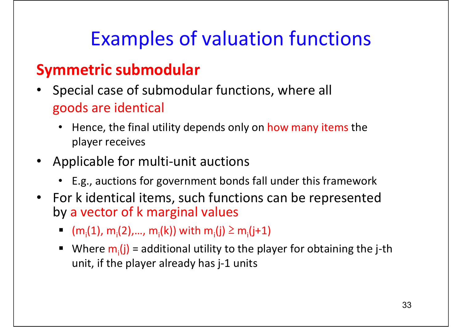### **Symmetric submodular**

- • Special case of submodular functions, where all goods are identical
	- • Hence, the final utility depends only on how many items the player receives
- •Applicable for multi-unit auctions
	- E.g., auctions for government bonds fall under this framework
- • For k identical items, such functions can be represented by <sup>a</sup> vector of k marginal values
	- $(m_i(1), m_i(2),..., m_i(k))$  with  $m_i(j) \ge m_i(j+1)$
	- Г ■ Where  $m_i(j)$  = additional utility to the player for obtaining the j-th unit, if the player already has j‐1 units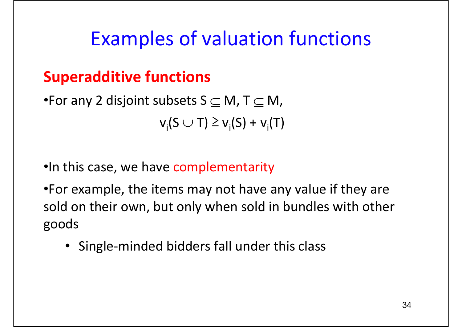### **Superadditive functions**

•For any 2 disjoint subsets S  $\subseteq$  M, T  $\subseteq$  M,  $v_i(S \cup T) \ge v_i(S) + v_i(T)$ 

- •In this case, we have complementarity
- •For example, the items may not have any value if they are sold on their own, but only when sold in bundles with other goods
	- Single‐minded bidders fall under this class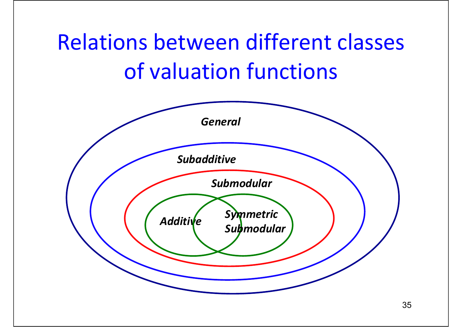# Relations between different classes of valuation functions

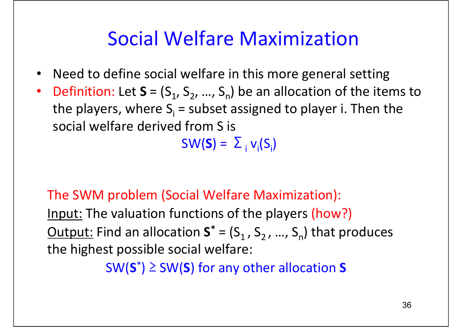### Social Welfare Maximization

- •Need to define social welfare in this more general setting
- •• Definition: Let  $S = (S_1, S_2, ..., S_n)$  be an allocation of the items to the players, where  $S_i$  = subset assigned to player i. Then the social welfare derived from S is

 $SW(S) = \sum_{i} v_i(S_i)$ 

### The SWM problem (Social Welfare Maximization): Input: The valuation functions of the players (how?) <u>Output:</u> Find an allocation  $S^* = (S_1, S_2, ..., S_n)$  that produces the highest possible social welfare:

SW(**S**\*) ≥ SW(**S**) for any other allocation **S**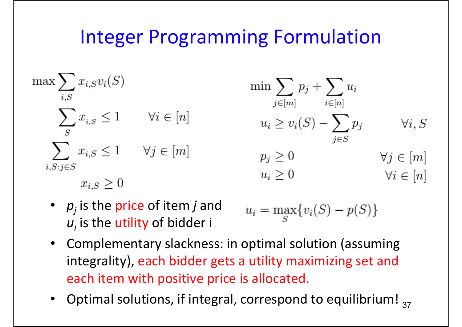### Integer Programming Formulation

$$
\max \sum_{i,S} x_{i,S} v_i(S) \qquad \min \sum_{j \in [m]} p_j + \sum_{i \in [n]} u_i
$$
\n
$$
\sum_{S} x_{i,S} \le 1 \qquad \forall i \in [n] \qquad \qquad u_i \ge v_i(S) - \sum_{j \in S} p_j \qquad \forall i, S
$$
\n
$$
\sum_{i,S:j \in S} x_{i,S} \le 1 \qquad \forall j \in [m] \qquad \qquad p_j \ge 0 \qquad \qquad \forall j \in [m]
$$
\n
$$
u_i \ge 0 \qquad \qquad \forall i \in [n]
$$

• *pj* is the price of item *j* and  $u_{_I}$  is the utility of bidder i

$$
u_i = \max_{S} \{ v_i(S) - p(S) \}
$$

- Complementary slackness: in optimal solution (assuming integrality), each bidder gets <sup>a</sup> utility maximizing set and each item with positive price is allocated.
- Optimal solutions, if integral, correspond to equilibrium!  $_{37}$ •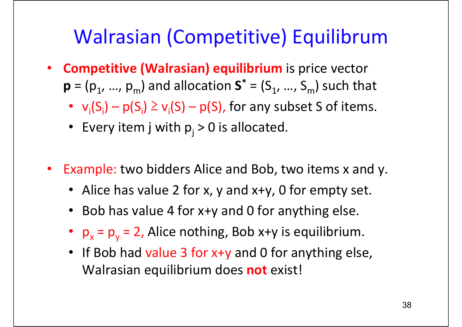# Walrasian (Competitive) Equilibrum

- • **Competitive (Walrasian) equilibrium** is price vector  $\mathbf{p} = (\mathbf{p}_1, ..., \mathbf{p}_m)$  and allocation S **\*** $^{*}$  = (S<sub>1</sub>, …, S<sub>m</sub>) such that
	- $v_i(S_i) p(S_i) \ge v_i(S) p(S)$ , for any subset S of items.
	- Every item j with  $p_j > 0$  is allocated.
- $\bullet$  Example: two bidders Alice and Bob, two items x and y.
	- Alice has value 2 for x, y and x+y, 0 for empty set.
	- Bob has value 4 for x+y and 0 for anything else.
	- $p_x$  $= p_{y}$ = 2, Alice nothing, Bob x+y is equilibrium.
	- If Bob had value 3 for x+y and 0 for anything else, Walrasian equilibrium does **not** exist!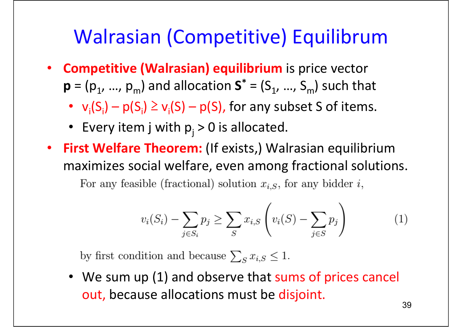## Walrasian (Competitive) Equilibrum

- **Competitive (Walrasian) equilibrium** is price vector  $\mathbf{p} = (\mathbf{p}_1, ..., \mathbf{p}_m)$  and allocation S **\*** $^{*}$  = (S<sub>1</sub>, …, S<sub>m</sub>) such that
	- $v_i(S_i) p(S_i) \ge v_i(S) p(S)$ , for any subset S of items.
	- Every item j with  $p_j > 0$  is allocated.
- $\bullet$  **First Welfare Theorem:** (If exists,) Walrasian equilibrium maximizes social welfare, even among fractional solutions.

For any feasible (fractional) solution  $x_{i,S}$ , for any bidder i,

$$
v_i(S_i) - \sum_{j \in S_i} p_j \ge \sum_S x_{i,S} \left( v_i(S) - \sum_{j \in S} p_j \right) \tag{1}
$$

by first condition and because  $\sum_{S} x_{i,S} \leq 1$ .

• We sum up (1) and observe that sums of prices cancel out, because allocations must be disjoint.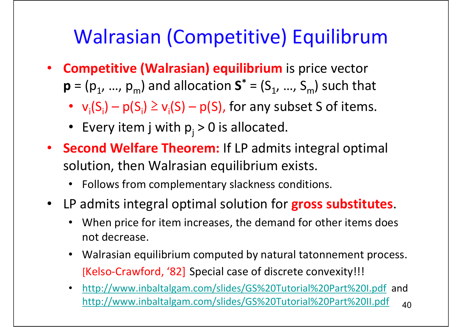# Walrasian (Competitive) Equilibrum

- **Competitive (Walrasian) equilibrium** is price vector  $\mathbf{p} = (\mathbf{p}_1, ..., \mathbf{p}_m)$  and allocation S **\*** $^{*}$  = (S<sub>1</sub>, …, S<sub>m</sub>) such that
	- $v_i(S_i) p(S_i) \ge v_i(S) p(S)$ , for any subset S of items.
	- Every item j with  $p_j > 0$  is allocated.
- **Second Welfare Theorem:** If LP admits integral optimal solution, then Walrasian equilibrium exists.
	- $\bullet$ Follows from complementary slackness conditions.
- $\bullet$  LP admits integral optimal solution for **gross substitutes**.
	- $\bullet$  When price for item increases, the demand for other items does not decrease.
	- Walrasian equilibrium computed by natural tatonnement process. [Kelso ‐Crawford, '82] Special case of discrete convexity!!!
	- 40 $\bullet$  http://www.inbaltalgam.com/slides/GS%20Tutorial%20Part%20I.pdf and http://www.inbaltalgam.com/slides/GS%20Tutorial%20Part%20II.pdf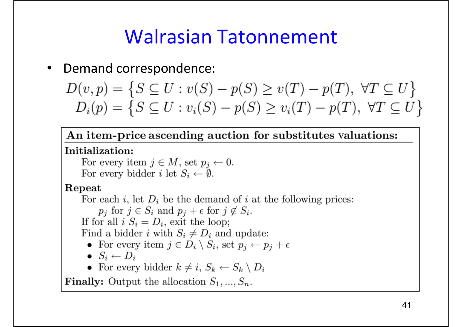### Walrasian Tatonnement

•Demand correspondence:

$$
D(v, p) = \{ S \subseteq U : v(S) - p(S) \ge v(T) - p(T), \forall T \subseteq U \}
$$
  

$$
D_i(p) = \{ S \subseteq U : v_i(S) - p(S) \ge v_i(T) - p(T), \forall T \subseteq U \}
$$

An item-price ascending auction for substitutes valuations:

#### Initialization:

For every item  $j \in M$ , set  $p_j \leftarrow 0$ . For every bidder i let  $S_i \leftarrow \emptyset$ .

#### Repeat

For each i, let  $D_i$  be the demand of i at the following prices:  $p_j$  for  $j \in S_i$  and  $p_j + \epsilon$  for  $j \notin S_i$ . If for all  $i S_i = D_i$ , exit the loop; Find a bidder i with  $S_i \neq D_i$  and update: • For every item  $j \in D_i \setminus S_i$ , set  $p_j \leftarrow p_j + \epsilon$  $\bullet$   $S_i \leftarrow D_i$ • For every bidder  $k \neq i$ ,  $S_k \leftarrow S_k \setminus D_i$ 

**Finally:** Output the allocation  $S_1, ..., S_n$ .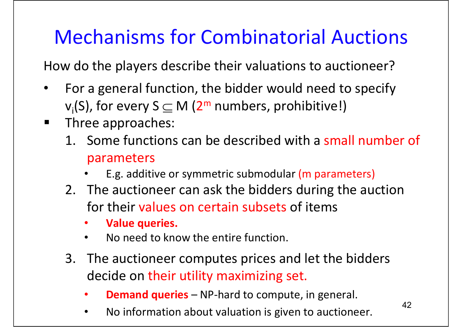# Mechanisms for Combinatorial Auctions

How do the players describe their valuations to auctioneer?

- $\bullet$  For a general function, the bidder would need to specify  $v_i(S)$ , for every  $S \subseteq M$  ( $2^m$  numbers, prohibitive!)
- $\blacksquare$  Three approaches:
	- 1. Some functions can be described with <sup>a</sup> small number of parameters
		- •E.g. additive or symmetric submodular (m parameters)
	- 2. The auctioneer can ask the bidders during the auction for their values on certain subsets of items
		- •**Value queries.**
		- •• No need to know the entire function.
	- 3. The auctioneer computes prices and let the bidders decide on their utility maximizing set.
		- •**• Demand queries** – NP-hard to compute, in general.
		- $\bullet$ \* No information about valuation is given to auctioneer.  $42$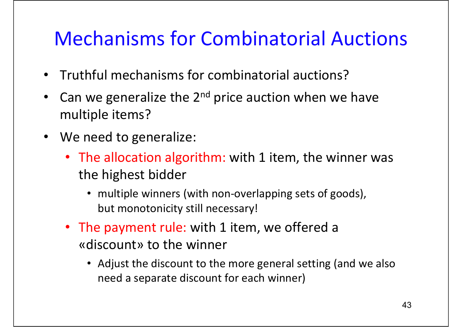## Mechanisms for Combinatorial Auctions

- $\bullet$ Truthful mechanisms for combinatorial auctions?
- $\bullet$ • Can we generalize the 2<sup>nd</sup> price auction when we have multiple items?
- We need to generalize:
	- The allocation algorithm: with 1 item, the winner was the highest bidder
		- multiple winners (with non-overlapping sets of goods), but monotonicity still necessary!
	- The payment rule: with 1 item, we offered <sup>a</sup> «discount» to the winner
		- Adjust the discount to the more general setting (and we also need <sup>a</sup> separate discount for each winner)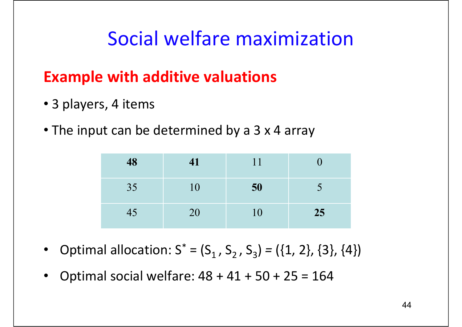## Social welfare maximization

### **Example with additive valuations**

- 3 players, 4 items
- The input can be determined by a3x 4 array

| 48              | 41 | 11        | $\mathbf{U}$ |
|-----------------|----|-----------|--------------|
| 35              | 10 | 50        |              |
| $\overline{45}$ | 20 | <b>10</b> | 25           |

- $\bullet$ • Optimal allocation:  $S^* = (S_1, S_2, S_3) = (\{1, 2\}, \{3\}, \{4\})$
- $\bullet$ Optimal social welfare: 48 <sup>+</sup> 41 <sup>+</sup> 50 <sup>+</sup> 25 <sup>=</sup> 164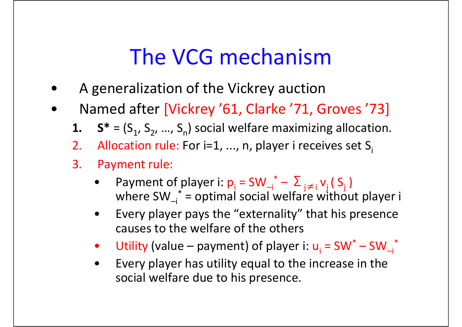# The VCG mechanism

- •A generalization of the Vickrey auction
- • Named after [Vickrey '61, Clarke '71, Groves '73]
	- **1.**  $S^* = (S_1, S_2, ..., S_n)$  social welfare maximizing allocation.
	- 2. Allocation rule: For i=1, ..., n, player i receives set S
	- 3. Payment rule:
		- •Payment of player i:  $p_i = SW_i^* - \sum_{j \neq i} v_j (S_j)$ where  $SW_i^*$  = optimal social welfare without player i
		- • Every player pays the "externality" that his presence causes to the welfare of the others
		- •Utility (value – payment) of player i:  $u_i = SW^* - SW_{-i}^*$
		- • Every player has utility equal to the increase in the social welfare due to his presence.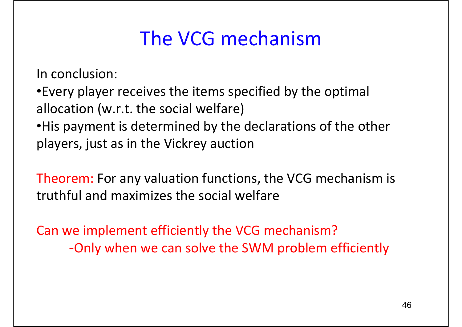## The VCG mechanism

In conclusion:

•Every player receives the items specified by the optimal allocation (w.r.t. the social welfare)

•His payment is determined by the declarations of the other players, just as in the Vickrey auction

Theorem: For any valuation functions, the VCG mechanism is truthful and maximizes the social welfare

Can we implement efficiently the VCG mechanism? -Only when we can solve the SWM problem efficiently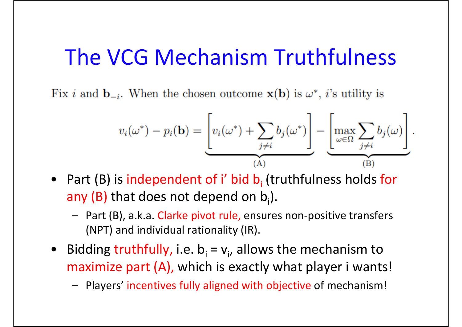## The VCG Mechanism Truthfulness

Fix i and  $\mathbf{b}_{-i}$ . When the chosen outcome  $\mathbf{x}(\mathbf{b})$  is  $\omega^*$ , i's utility is

$$
v_i(\omega^*) - p_i(\mathbf{b}) = \underbrace{\left[v_i(\omega^*) + \sum_{j \neq i} b_j(\omega^*)\right]}_{\text{(A)}} - \underbrace{\left[\max_{\omega \in \Omega} \sum_{j \neq i} b_j(\omega)\right]}_{\text{(B)}}.
$$

- Part (B) is independent of i' bid b<sub>i</sub> (truthfulness holds for any (B) that does not depend on  $b_i$ ).
	- Part (B), a.k.a. Clarke pivot rule, ensures non‐positive transfers (NPT) and individual rationality (IR).
- Bidding truthfully, i.e.  $b_i = v_i$ , allows the mechanism to maximize part (A), which is exactly what player i wants!
	- Players' incentives fully aligned with objective of mechanism!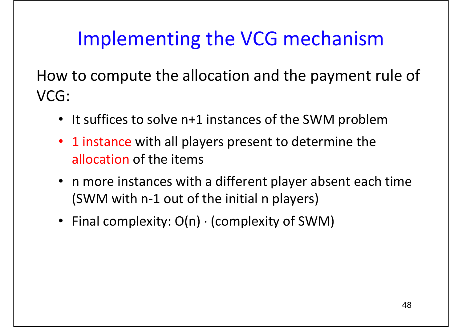How to compute the allocation and the payment rule of VCG:

- It suffices to solve n+1 instances of the SWM problem
- •• 1 instance with all players present to determine the allocation of the items
- n more instances with <sup>a</sup> different player absent each time (SWM with <sup>n</sup>‐1 out of the initial <sup>n</sup> players)
- Final complexity: O(n) <sup>⋅</sup> (complexity of SWM)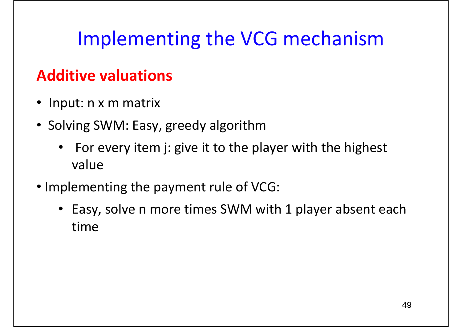### **Additive valuations**

- Input: <sup>n</sup> <sup>x</sup> <sup>m</sup> matrix
- Solving SWM: Easy, greedy algorithm
	- $\bullet$  For every item j: give it to the player with the highest value
- Implementing the payment rule of VCG:
	- Easy, solve <sup>n</sup> more times SWM with 1 player absent each time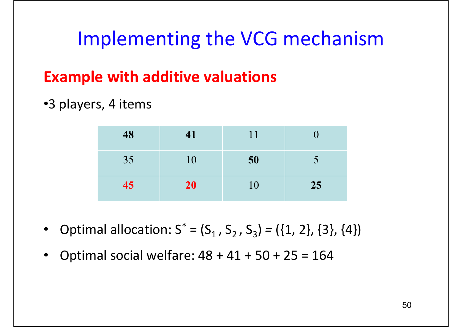### **Example with additive valuations**

#### •3 players, 4 items

| 48 | 41        | 11 |        |
|----|-----------|----|--------|
| 35 | <b>10</b> | 50 | $\sim$ |
| 45 | 20        | 10 | 25     |

- $\bullet$ • Optimal allocation:  $S^* = (S_1, S_2, S_3) = (\{1, 2\}, \{3\}, \{4\})$
- $\bullet$ Optimal social welfare: 48 <sup>+</sup> 41 <sup>+</sup> 50 <sup>+</sup> 25 <sup>=</sup> 164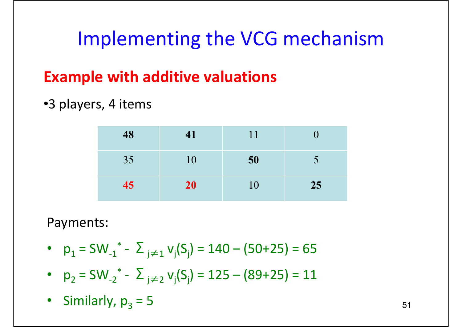### **Example with additive valuations**

#### •3 players, 4 items

| 48 | 41 | 11 |    |
|----|----|----|----|
| 35 | 10 | 50 |    |
| 45 | 20 | 10 | 25 |

#### Payments:

- $p_1 = SW_{-1}^* \sum_{j \neq 1} v_j(S_j) = 140 (50 + 25) = 65$
- $p_2 = SW_{-2}^* \sum_{j \neq 2} v_j(S_j) = 125 (89 + 25) = 11$
- Similarly,  $p_3 = 5$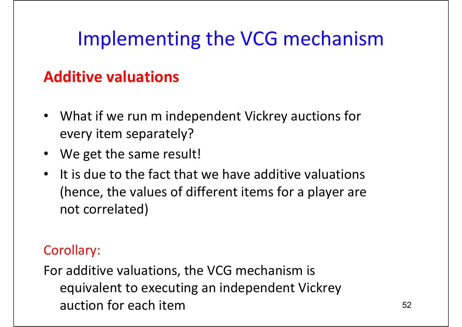### **Additive valuations**

- What if we run m independent Vickrey auctions for every item separately?
- We get the same result!
- $\bullet$ • It is due to the fact that we have additive valuations (hence, the values of different items for <sup>a</sup> player are not correlated)

#### Corollary:

For additive valuations, the VCG mechanism is equivalent to executing an independent Vickrey auction for each item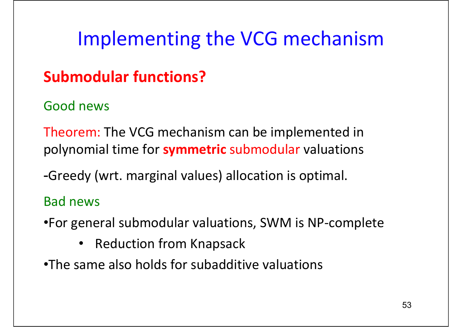### **Submodular functions?**

#### Good news

Theorem: The VCG mechanism can be implemented in polynomial time for **symmetric** submodular valuations

-Greedy (wrt. marginal values) allocation is optimal.

#### Bad news

- •For general submodular valuations, SWM is NP‐complete
	- Reduction from Knapsack
- •The same also holds for subadditive valuations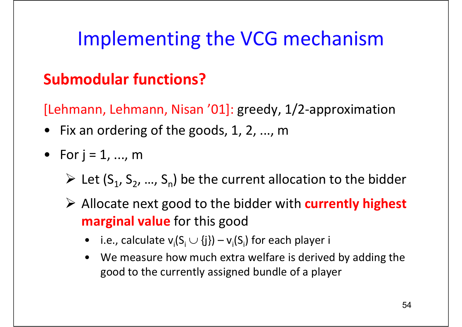### **Submodular functions?**

[Lehmann, Lehmann, Nisan '01]: greedy, 1/2‐approximation

- Fix an ordering of the goods, 1, 2, ..., <sup>m</sup>
- For j <sup>=</sup> 1, ..., <sup>m</sup>
	- $\triangleright$  Let (S<sub>1</sub>, S<sub>2</sub>, ..., S<sub>n</sub>) be the current allocation to the bidder
	- ¾ Allocate next good to the bidder with **currently highest marginal value** for this good
		- $\bullet$ i.e., calculate  $v_i(S_i \cup \{j\}) - v_i(S_i)$  for each player i
		- $\bullet$  We measure how much extra welfare is derived by adding the good to the currently assigned bundle of <sup>a</sup> player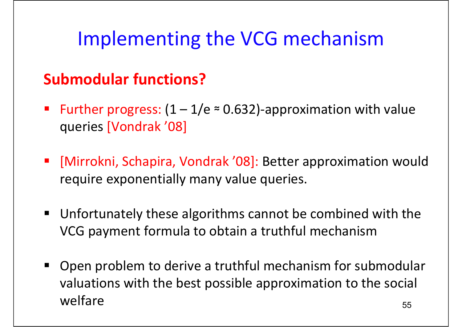### **Submodular functions?**

- Further progress:  $(1 1/e \approx 0.632)$ -approximation with value queries [Vondrak '08]
- [Mirrokni, Schapira, Vondrak '08]: Better approximation would require exponentially many value queries.
- $\blacksquare$  Unfortunately these algorithms cannot be combined with the VCG payment formula to obtain <sup>a</sup> truthful mechanism
- 55 $\blacksquare$  Open problem to derive <sup>a</sup> truthful mechanism for submodular valuations with the best possible approximation to the social welfare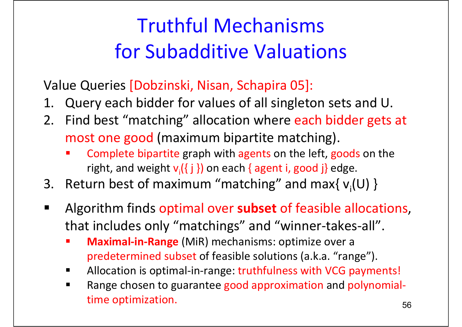# Truthful Mechanismsfor Subadditive Valuations

Value Queries [Dobzinski, Nisan, Schapira 05]:

- 1. Query each bidder for values of all singleton sets and U.
- 2. Find best "matching" allocation where each bidder gets at most one good (maximum bipartite matching).
	- П Complete bipartite graph with agents on the left, goods on the right, and weight  $v_i({j})$  on each { agent i, good j} edge.
- 3. Return best of maximum "matching" and max{  $v_i(U)$  }
- $\blacksquare$  Algorithm finds optimal over **subset** of feasible allocations, that includes only "matchings" and "winner‐takes‐all".
	- П **Maximal‐in‐Range** (MiR) mechanisms: optimize over <sup>a</sup> predetermined subset of feasible solutions (a.k.a. "range").
	- г ■ Allocation is optimal-in-range: truthfulness with VCG payments!
	- Г Range chosen to guarantee good approximation and polynomial‐ time optimization.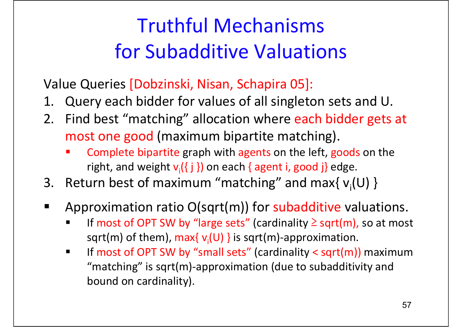# Truthful Mechanismsfor Subadditive Valuations

Value Queries [Dobzinski, Nisan, Schapira 05]:

- 1. Query each bidder for values of all singleton sets and U.
- 2. Find best "matching" allocation where each bidder gets at most one good (maximum bipartite matching).
	- П Complete bipartite graph with agents on the left, goods on the right, and weight  $v_i$ ({ j }) on each { agent i, good j} edge.
- 3. Return best of maximum "matching" and max{  $v_i(U)$  }
- $\blacksquare$  Approximation ratio O(sqrt(m)) for subadditive valuations.
	- Г ■ If most of OPT SW by "large sets" (cardinality  $\geq$  sqrt(m), so at most sqrt(m) of them), max{ $v_i(U)$ } is sqrt(m)-approximation.
	- Г **IF MOST OF ACT SW by "small sets" (cardinality < sqrt(m)) maximum** "matching" is sqrt(m)‐approximation (due to subadditivity and bound on cardinality).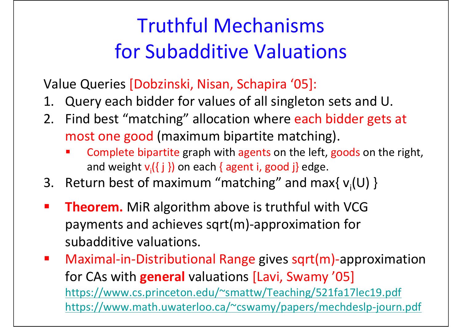# Truthful Mechanismsfor Subadditive Valuations

Value Queries [Dobzinski, Nisan, Schapira '05]:

- 1. Query each bidder for values of all singleton sets and U.
- 2. Find best "matching" allocation where each bidder gets at most one good (maximum bipartite matching).
	- П Complete bipartite graph with agents on the left, goods on the right, and weight **v**<sub>i</sub>({ j }) on each { agent i, good j} edge.
- 3. Return best of maximum "matching" and max{  $v_i(U)$  }
- $\mathcal{L}_{\mathcal{A}}$  **Theorem.** MiR algorithm above is truthful with VCG payments and achieves sqrt(m)‐approximation for subadditive valuations.
- $\mathbf{r}$  Maximal‐in‐Distributional Range gives sqrt(m)‐approximation for CAs with **general** valuations [Lavi, Swamy '05] https://www.cs.princeton.edu/~smattw/Teaching/521fa17lec19.pdf https://www.math.uwaterloo.ca/~cswamy/papers/mechdeslp‐journ.pdf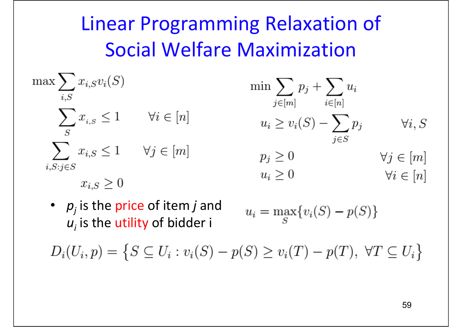# Linear Programming Relaxation of Social Welfare Maximization

$$
\max \sum_{i,S} x_{i,S} v_i(S)
$$
\n
$$
\min \sum_{j \in [m]} p_j + \sum_{i \in [n]} u_i
$$
\n
$$
\sum_{j \in [m]} x_{i,S} \le 1 \quad \forall i \in [n]
$$
\n
$$
\min \sum_{j \in [m]} p_j + \sum_{i \in [n]} u_i
$$
\n
$$
u_i \ge v_i(S) - \sum_{j \in S} p_j \quad \forall i, S
$$
\n
$$
\sum_{i,S:j \in S} x_{i,S} \le 1 \quad \forall j \in [m]
$$
\n
$$
p_j \ge 0 \quad \forall j \in [m]
$$
\n
$$
u_i \ge 0 \quad \forall i \in [n]
$$

• *pj* is the price of item *j* and  $u_{_I}$  is the utility of bidder i

$$
u_i = \max_{S} \{ v_i(S) - p(S) \}
$$

 $D_i(U_i, p) = \{ S \subseteq U_i : v_i(S) - p(S) \ge v_i(T) - p(T), \ \forall T \subseteq U_i \}$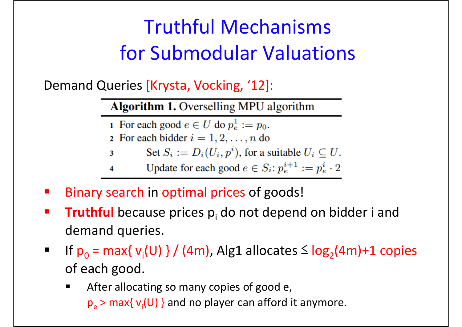# Truthful Mechanisms for Submodular Valuations

Demand Queries [Krysta, Vocking, '12]:

**Algorithm 1.** Overselling MPU algorithm

- 1 For each good  $e \in U$  do  $p_e^1 := p_0$ .
- 2 For each bidder  $i = 1, 2, \ldots, n$  do
- Set  $S_i := D_i(U_i, p^i)$ , for a suitable  $U_i \subseteq U$ .  $\mathbf{3}$

Update for each good  $e \in S_i$ :  $p_e^{i+1} := p_e^i \cdot 2$ 4

- $\mathbb{Z}$ Binary search in optimal prices of goods!
- $\mathbb{Z}^2$ **Truthful** because prices p<sub>i</sub> do not depend on bidder i and demand queries.
- $\blacksquare$ If  $p_0$  = max{  $v_i(U)$  } / (4m), Alg1 allocates  $\leq$  log<sub>2</sub>(4m)+1 copies of each good.
	- г After allocating so many copies of good e,  $p_e$  > max{  $v_i$ (U) } and no player can afford it anymore.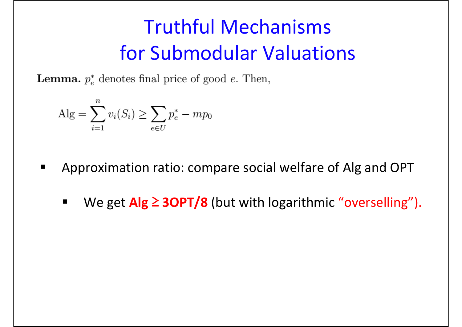# Truthful Mechanisms for Submodular Valuations

**Lemma.**  $p_e^*$  denotes final price of good *e*. Then,

$$
Alg = \sum_{i=1}^{n} v_i(S_i) \ge \sum_{e \in U} p_e^* - mp_0
$$

- Approximation ratio: compare social welfare of Alg and OPT
	- $\blacksquare$ ■ We get Alg 2 3OPT/8 (but with logarithmic "overselling").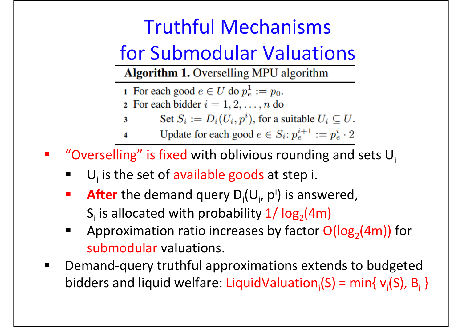## Truthful Mechanisms

## for Submodular Valuations

**Algorithm 1.** Overselling MPU algorithm

1 For each good  $e \in U$  do  $p_e^1 := p_0$ .

- 2 For each bidder  $i = 1, 2, \ldots, n$  do
- Set  $S_i := D_i(U_i, p^i)$ , for a suitable  $U_i \subseteq U$ . 3
- Update for each good  $e \in S_i$ :  $p_e^{i+1} := p_e^i \cdot 2$  $\overline{\mathbf{4}}$
- $\mathcal{L}^{\mathcal{A}}$ "Overselling" is fixed with oblivious rounding and sets  $U_i$ 
	- ×  $\blacksquare$  U<sub>i</sub> is the set of available goods at step i.
	- $\mathcal{L}_{\mathcal{A}}$ **After** the demand query  $D_i(U_i, p^i)$  is answered, S<sub>i</sub> is allocated with probability  $1/$  log<sub>2</sub>(4m)
	- $\blacksquare$ Approximation ratio increases by factor  $O(log<sub>2</sub>(4m))$  for submodular valuations.
- $\blacksquare$  Demand‐query truthful approximations extends to budgeted bidders and liquid welfare: LiquidValuation ${}_{i}$ (S) = min{ v ${}_{i}$ (S), B ${}_{i}$  }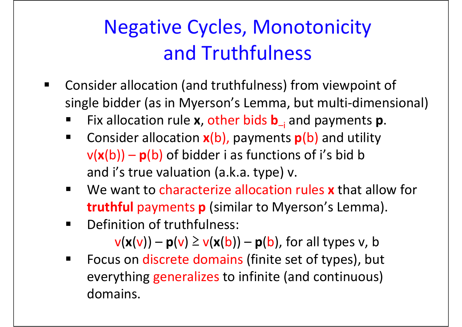# Negative Cycles, Monotonicity and Truthfulness

- $\blacksquare$  Consider allocation (and truthfulness) from viewpoint of single bidder (as in Myerson's Lemma, but multi-dimensional)
	- $\blacksquare$ ■ Fix allocation rule **x**, other bids **b**<sub>–i</sub> and payments **p**.
	- $\blacksquare$  Consider allocation **<sup>x</sup>**(b), payments **p**(b) and utility  $v(x(b)) - p(b)$  of bidder i as functions of i's bid b and i's true valuation (a.k.a. type) v.
	- $\blacksquare$  We want to characterize allocation rules **<sup>x</sup>** that allow for **truthful** payments **p** (similar to Myerson's Lemma).
	- $\blacksquare$ Definition of truthfulness:

 $v(x(v)) - p(v) \ge v(x(b)) - p(b)$ , for all types v, b

 $\blacksquare$ **Focus on discrete domains (finite set of types), but** everything generalizes to infinite (and continuous) domains.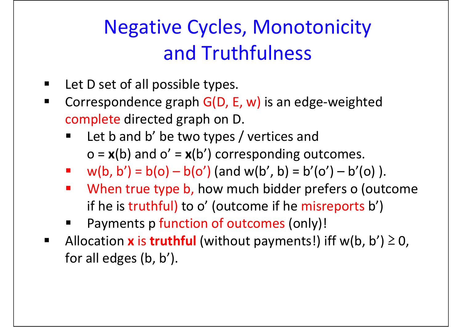# Negative Cycles, Monotonicity and Truthfulness

- $\blacksquare$ **Let D set of all possible types.**
- $\blacksquare$  Correspondence graph G(D, E, w) is an edge‐weighted complete directed graph on D.
	- $\blacksquare$ **Let b and b' be two types / vertices and** o <sup>=</sup> **<sup>x</sup>**(b) and <sup>o</sup>' <sup>=</sup> **<sup>x</sup>**(b') corresponding outcomes.
	- $w(b, b') = b(o) b(o')$  (and w(b', b) = b'(o') b'(o)).
	- **• When true type b, how much bidder prefers o (outcome** if he is truthful) to o' (outcome if he misreports b')
	- $\overline{\phantom{a}}$ Payments p function of outcomes (only)!
- $\blacksquare$ ■ Allocation x is truthful (without payments!) iff w(b, b') ≥ 0, for all edges (b, b').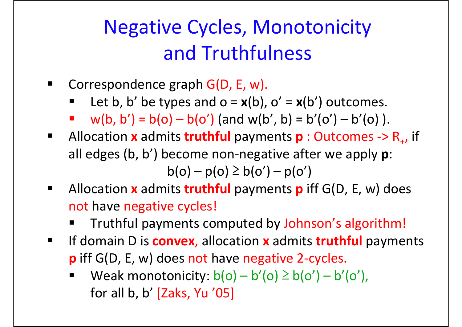# Negative Cycles, Monotonicity and Truthfulness

- $\blacksquare$  Correspondence graph G(D, E, w).
	- × Let b, b' be types and  $o = x(b)$ ,  $o' = x(b')$  outcomes.
	- Т, w(b, b') =  $b(o) - b(o')$  (and w(b', b) =  $b'(o') - b'(o)$ ).
- $\blacksquare$ ■ Allocation **x** admits **truthful** payments **p** : Outcomes -> R<sub>+</sub>, if all edges (b, b') become non‐negative after we apply **p**:  $b(o) - p(o) \ge b(o') - p(o')$
- $\blacksquare$  Allocation **<sup>x</sup>** admits **truthful** payments **p** iff G(D, E, w) does not have negative cycles!
	- $\overline{\phantom{a}}$ Truthful payments computed by Johnson's algorithm!
- $\blacksquare$ **IF domain D is convex, allocation x admits truthful payments p** iff G(D, E, w) does not have negative 2‐cycles.
	- $\overline{\phantom{a}}$ Weak monotonicity:  $b(o) - b'(o) \ge b(o') - b'(o')$ , for all b, b' [Zaks, Yu '05]